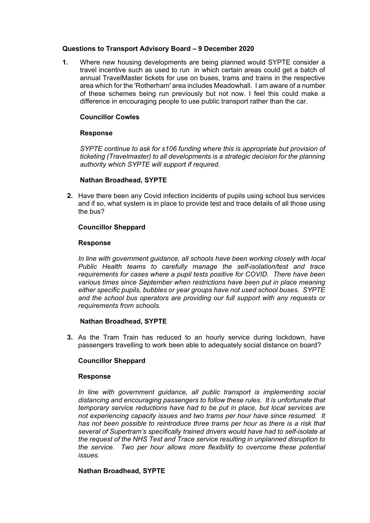### **Questions to Transport Advisory Board – 9 December 2020**

**1.** Where new housing developments are being planned would SYPTE consider a travel incentive such as used to run in which certain areas could get a batch of annual TravelMaster tickets for use on buses, trams and trains in the respective area which for the 'Rotherham' area includes Meadowhall. I am aware of a number of these schemes being run previously but not now. I feel this could make a difference in encouraging people to use public transport rather than the car.

# **Councillor Cowles**

# **Response**

*SYPTE continue to ask for s106 funding where this is appropriate but provision of ticketing (Travelmaster) to all developments is a strategic decision for the planning authority which SYPTE will support if required.*

### **Nathan Broadhead, SYPTE**

**2.** Have there been any Covid infection incidents of pupils using school bus services and if so, what system is in place to provide test and trace details of all those using the bus?

# **Councillor Sheppard**

### **Response**

*In line with government guidance, all schools have been working closely with local Public Health teams to carefully manage the self-isolation/test and trace requirements for cases where a pupil tests positive for COVID. There have been various times since September when restrictions have been put in place meaning either specific pupils, bubbles or year groups have not used school buses. SYPTE and the school bus operators are providing our full support with any requests or requirements from schools.*

### **Nathan Broadhead, SYPTE**

**3.** As the Tram Train has reduced to an hourly service during lockdown, have passengers travelling to work been able to adequately social distance on board?

# **Councillor Sheppard**

### **Response**

*In line with government guidance, all public transport is implementing social distancing and encouraging passengers to follow these rules. It is unfortunate that temporary service reductions have had to be put in place, but local services are not experiencing capacity issues and two trams per hour have since resumed. It has not been possible to reintroduce three trams per hour as there is a risk that several of Supertram's specifically trained drivers would have had to self-isolate at the request of the NHS Test and Trace service resulting in unplanned disruption to the service. Two per hour allows more flexibility to overcome these potential issues.*

### **Nathan Broadhead, SYPTE**